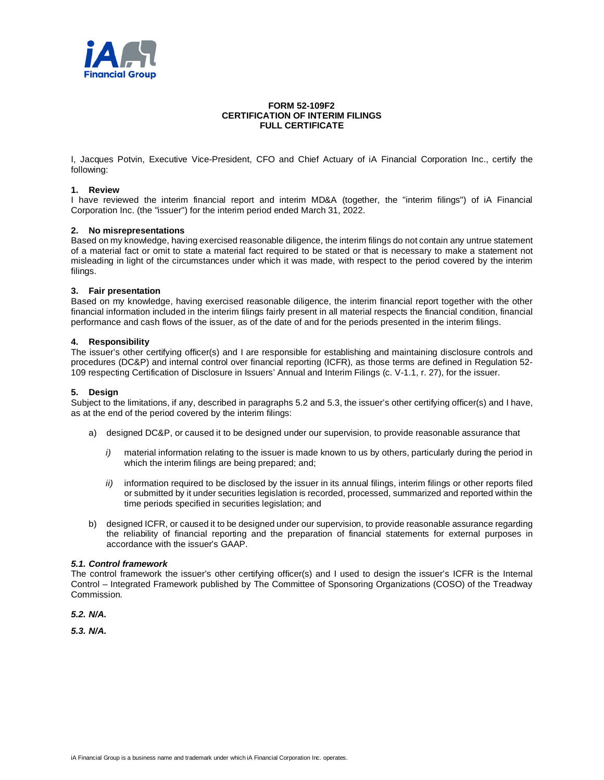

# **FORM 52-109F2 CERTIFICATION OF INTERIM FILINGS FULL CERTIFICATE**

I, Jacques Potvin, Executive Vice-President, CFO and Chief Actuary of iA Financial Corporation Inc., certify the following:

### **1. Review**

I have reviewed the interim financial report and interim MD&A (together, the "interim filings") of iA Financial Corporation Inc. (the "issuer") for the interim period ended March 31, 2022.

## **2. No misrepresentations**

Based on my knowledge, having exercised reasonable diligence, the interim filings do not contain any untrue statement of a material fact or omit to state a material fact required to be stated or that is necessary to make a statement not misleading in light of the circumstances under which it was made, with respect to the period covered by the interim filings.

#### **3. Fair presentation**

Based on my knowledge, having exercised reasonable diligence, the interim financial report together with the other financial information included in the interim filings fairly present in all material respects the financial condition, financial performance and cash flows of the issuer, as of the date of and for the periods presented in the interim filings.

## **4. Responsibility**

The issuer's other certifying officer(s) and I are responsible for establishing and maintaining disclosure controls and procedures (DC&P) and internal control over financial reporting (ICFR), as those terms are defined in Regulation 52- 109 respecting Certification of Disclosure in Issuers' Annual and Interim Filings (c. V-1.1, r. 27), for the issuer.

### **5. Design**

Subject to the limitations, if any, described in paragraphs 5.2 and 5.3, the issuer's other certifying officer(s) and I have, as at the end of the period covered by the interim filings:

- a) designed DC&P, or caused it to be designed under our supervision, to provide reasonable assurance that
	- *i)* material information relating to the issuer is made known to us by others, particularly during the period in which the interim filings are being prepared; and:
	- *ii)* information required to be disclosed by the issuer in its annual filings, interim filings or other reports filed or submitted by it under securities legislation is recorded, processed, summarized and reported within the time periods specified in securities legislation; and
- b) designed ICFR, or caused it to be designed under our supervision, to provide reasonable assurance regarding the reliability of financial reporting and the preparation of financial statements for external purposes in accordance with the issuer's GAAP.

#### *5.1. Control framework*

The control framework the issuer's other certifying officer(s) and I used to design the issuer's ICFR is the Internal Control – Integrated Framework published by The Committee of Sponsoring Organizations (COSO) of the Treadway Commission.

*5.2. N/A.*

*5.3. N/A.*